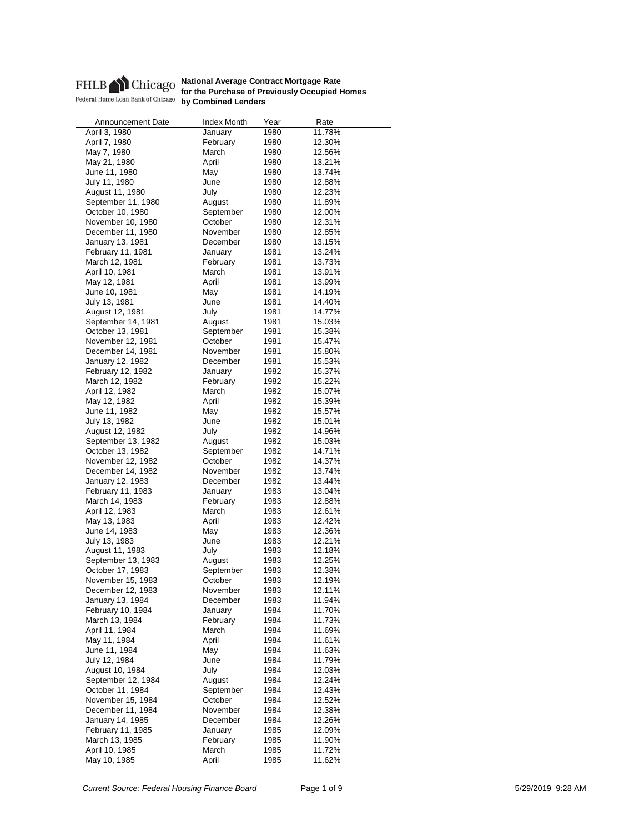

Announcement Date Index Month Year Rate April 3, 1980 **January** 1980 11.78% April 7, 1980 **February** 1980 12.30% May 7, 1980 March 1980 12.56% May 21, 1980 April 1980 13.21% June 11, 1980 May 1980 13.74% July 11, 1980 June 1980 12.88% August 11, 1980 **July 1980** 12.23% September 11, 1980 August 1980 11.89% October 10, 1980 September 1980 12.00% November 10, 1980 **October** 1980 12.31% December 11, 1980 November 1980 12.85% January 13, 1981 February 11, 1981 **January** 1981 13.24% March 12, 1981 **February** 1981 13.73% April 10, 1981 **March** 1981 13.91% May 12, 1981 **April** April 1981 13.99% June 10, 1981 **May** 1981 14.19% July 13, 1981 June 1981 14.40% August 12, 1981 **July 1981** 14.77% September 14, 1981 **August** 1981 15.03% October 13, 1981 **September** 1981 15.38%<br>November 12, 1981 0ctober 1981 15.47% November 12, 1981 October 1981 15.47% December 14, 1981 **November** 1981 15.80% January 12, 1982 December 1981 15.53% February 12, 1982 **January** 1982 15.37% March 12, 1982 **February** 1982 15.22% April 12, 1982 March 1982 15.07% May 12, 1982 **April** 1982 15.39% June 11, 1982 May 1982 15.57% July 13, 1982 June 1982 15.01% August 12, 1982 **July 1982** 14.96% September 13, 1982 **August** 1982 15.03% October 13, 1982 September 1982 14.71% November 12, 1982 December 14, 1982 **November** 1982 13.74% January 12, 1983 December 1982 13.44% February 11, 1983 January 1983 March 14, 1983 **February** 1983 12.88% April 12, 1983 March 1983 12.61% May 13, 1983 April 1983 12.42% June 14, 1983 May May 1983 July 13, 1983 June 1983 12.21% August 11, 1983 **July 1983** 12.18% September 13, 1983 **August** 1983 12.25% October 17, 1983 September 1983 12.38% November 15, 1983 **October** 1983 12.19% December 12, 1983 **November** 1983 12.11% January 13, 1984 **December** 1983 11.94% February 10, 1984 **January** 1984 11.70% March 13, 1984 **February** 1984 11.73% April 11, 1984 March 1984 11.69% May 11, 1984 **April** 1984 11.61% June 11, 1984 **May** 1984 11.63% July 12, 1984 June 1984 11.79% August 10, 1984 **July 1984** 12.03% September 12, 1984 August 1984 12.24% October 11, 1984 **September** 1984 12.43% November 15, 1984 October 1984 12.52% December 11, 1984 November 1984 12.38% January 14, 1985 December 1984 February 11, 1985 **January** 1985 12.09% March 13, 1985 **February** 1985 11.90% April 10, 1985 March 1985 11.72% May 10, 1985 **April** 1985 11.62%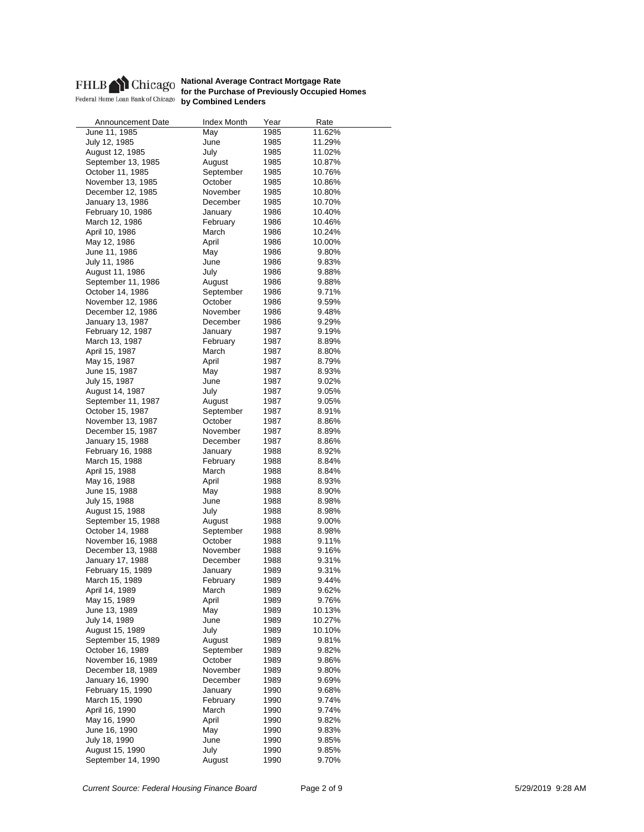

Announcement Date Index Month Year Rate June 11, 1985 May 1985 11.62% July 12, 1985 June 1985 11.29% August 12, 1985 **July 1985** 11.02% September 13, 1985 August 1985 10.87% October 11, 1985 September 1985 10.76% November 13, 1985 **October** 1985 10.86% December 12, 1985 November 1985 10.80% January 13, 1986 December 1985 10.70% February 10, 1986 **January** 1986 10.40% March 12, 1986 **February** 1986 10.46% April 10, 1986 March 1986 10.24% May 12, 1986 **April** 1986 June 11, 1986 May 1986 9.80% July 11, 1986 June 1986 9.83% August 11, 1986 **July 1986** 9.88% September 11, 1986 August 1986 9.88% October 14, 1986 **September** 1986 9.71% November 12, 1986 October 1986 9.59% December 12, 1986 November 1986 9.48% January 13, 1987 December 1986 9.29% February 12, 1987 **January** 1987 9.19% March 13, 1987 **February** 1987 8.89% April 15, 1987 March 1987 8.80% May 15, 1987 **April** 1987 8.79% June 15, 1987 May 1987 8.93% July 15, 1987 June 1987 9.02% August 14, 1987 July 1987 9.05% September 11, 1987 **August** 1987 9.05% October 15, 1987 September 1987 8.91% November 13, 1987 October 1987 8.86% December 15, 1987 November 1987 8.89% January 15, 1988 **December** 1987 8.86% February 16, 1988 January 1988 8.92% March 15, 1988 April 15, 1988 March 1988 8.84% May 16, 1988 **April 1988** 8.93% **8.93%**<br>
Uune 15, 1988 **April 1988 8.90%** June 15, 1988 May May 1988 July 15, 1988 June 1988 8.98% August 15, 1988 **July 1988** 8.98% September 15, 1988 August 1988 9.00% October 14, 1988 September 1988 8.98% November 16, 1988 October 1988 9.11% December 13, 1988 **November** 1988 9.16% January 17, 1988 December 1988 9.31% February 15, 1989 **January** 1989 9.31% March 15, 1989 **February** 1989 9.44% April 14, 1989 **March** 1989 9.62% May 15, 1989 **April** 1989 9.76% June 13, 1989 May 1989 10.13% July 14, 1989 June 1989 10.27% August 15, 1989 **July 1989** 10.10% September 15, 1989 August 1989 9.81% October 16, 1989 September 1989 9.82% November 16, 1989 October 1989 9.86% December 18, 1989 November 1989 9.80% January 16, 1990 December 1989 9.69% February 15, 1990 **January** 1990 9.68% March 15, 1990 **February 1990 9.74%**<br>1990 9.74% April 16, 1990 9.74% April 16, 1990 March May 16, 1990 **April** 1990 9.82% June 16, 1990 May 1990 9.83% July 18, 1990 June 1990 9.85% August 15, 1990 July 1990 9.85% September 14, 1990 **August** 1990 9.70%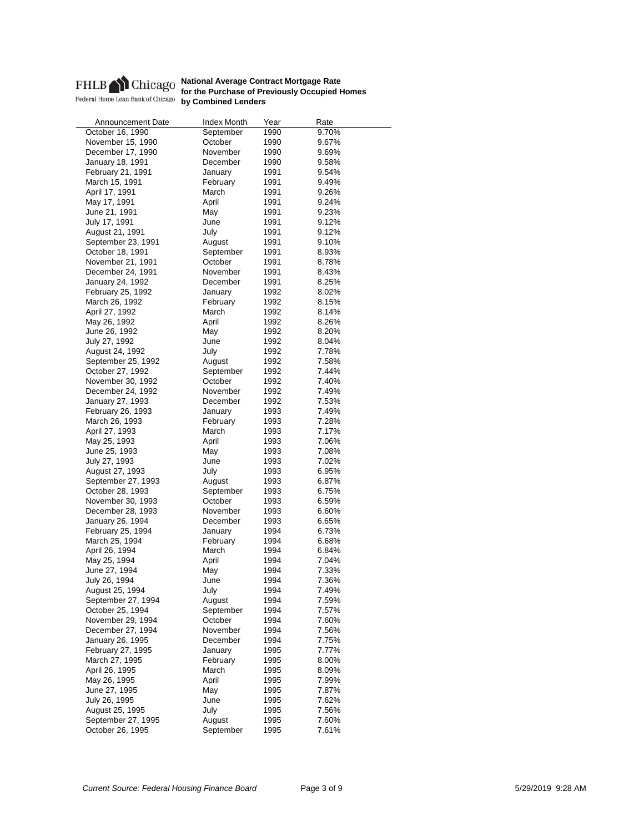

| Announcement Date  | <b>Index Month</b> | Year | Rate  |
|--------------------|--------------------|------|-------|
| October 16, 1990   | September          | 1990 | 9.70% |
| November 15, 1990  | October            | 1990 | 9.67% |
| December 17, 1990  | November           | 1990 | 9.69% |
| January 18, 1991   | December           | 1990 | 9.58% |
| February 21, 1991  | January            | 1991 | 9.54% |
| March 15, 1991     | February           | 1991 | 9.49% |
| April 17, 1991     | March              | 1991 | 9.26% |
| May 17, 1991       | April              | 1991 | 9.24% |
| June 21, 1991      | May                | 1991 | 9.23% |
| July 17, 1991      | June               | 1991 | 9.12% |
| August 21, 1991    | July               | 1991 | 9.12% |
| September 23, 1991 | August             | 1991 | 9.10% |
| October 18, 1991   | September          | 1991 | 8.93% |
| November 21, 1991  | October            | 1991 | 8.78% |
| December 24, 1991  | November           | 1991 | 8.43% |
|                    | December           | 1991 | 8.25% |
| January 24, 1992   |                    |      |       |
| February 25, 1992  | January            | 1992 | 8.02% |
| March 26, 1992     | February           | 1992 | 8.15% |
| April 27, 1992     | March              | 1992 | 8.14% |
| May 26, 1992       | April              | 1992 | 8.26% |
| June 26, 1992      | May                | 1992 | 8.20% |
| July 27, 1992      | June               | 1992 | 8.04% |
| August 24, 1992    | July               | 1992 | 7.78% |
| September 25, 1992 | August             | 1992 | 7.58% |
| October 27, 1992   | September          | 1992 | 7.44% |
| November 30, 1992  | October            | 1992 | 7.40% |
| December 24, 1992  | November           | 1992 | 7.49% |
| January 27, 1993   | December           | 1992 | 7.53% |
| February 26, 1993  | January            | 1993 | 7.49% |
| March 26, 1993     | February           | 1993 | 7.28% |
| April 27, 1993     | March              | 1993 | 7.17% |
| May 25, 1993       | April              | 1993 | 7.06% |
| June 25, 1993      | May                | 1993 | 7.08% |
| July 27, 1993      | June               | 1993 | 7.02% |
| August 27, 1993    | July               | 1993 | 6.95% |
| September 27, 1993 | August             | 1993 | 6.87% |
| October 28, 1993   | September          | 1993 | 6.75% |
| November 30, 1993  | October            | 1993 | 6.59% |
| December 28, 1993  | November           | 1993 | 6.60% |
| January 26, 1994   | December           | 1993 | 6.65% |
| February 25, 1994  | January            | 1994 | 6.73% |
| March 25, 1994     | February           | 1994 | 6.68% |
| April 26, 1994     | March              | 1994 | 6.84% |
| May 25, 1994       | April              | 1994 | 7.04% |
| June 27, 1994      | May                | 1994 | 7.33% |
| July 26, 1994      | June               | 1994 | 7.36% |
| August 25, 1994    | July               | 1994 | 7.49% |
| September 27, 1994 | August             | 1994 | 7.59% |
| October 25, 1994   | September          | 1994 | 7.57% |
| November 29, 1994  | October            | 1994 | 7.60% |
| December 27, 1994  | November           | 1994 | 7.56% |
|                    |                    |      |       |
| January 26, 1995   | December           | 1994 | 7.75% |
| February 27, 1995  | January            | 1995 | 7.77% |
| March 27, 1995     | February           | 1995 | 8.00% |
| April 26, 1995     | March              | 1995 | 8.09% |
| May 26, 1995       | April              | 1995 | 7.99% |
| June 27, 1995      | May                | 1995 | 7.87% |
| July 26, 1995      | June               | 1995 | 7.62% |
| August 25, 1995    | July               | 1995 | 7.56% |
| September 27, 1995 | August             | 1995 | 7.60% |
| October 26, 1995   | September          | 1995 | 7.61% |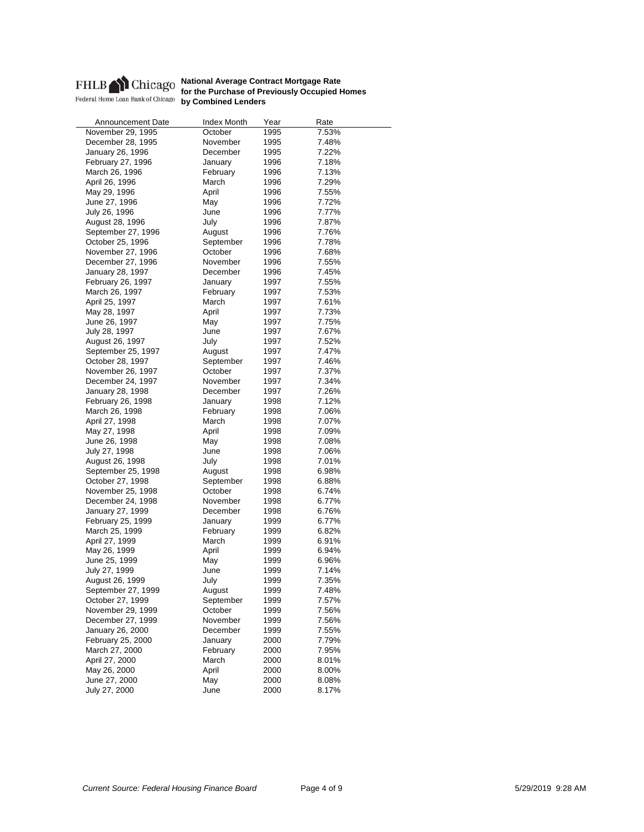

| Announcement Date  | <b>Index Month</b> | Year | Rate  |
|--------------------|--------------------|------|-------|
| November 29, 1995  | October            | 1995 | 7.53% |
| December 28, 1995  | November           | 1995 | 7.48% |
| January 26, 1996   | December           | 1995 | 7.22% |
| February 27, 1996  | January            | 1996 | 7.18% |
| March 26, 1996     | February           | 1996 | 7.13% |
| April 26, 1996     | March              | 1996 | 7.29% |
| May 29, 1996       | April              | 1996 | 7.55% |
| June 27, 1996      | May                | 1996 | 7.72% |
| July 26, 1996      | June               | 1996 | 7.77% |
| August 28, 1996    | July               | 1996 | 7.87% |
| September 27, 1996 | August             | 1996 | 7.76% |
| October 25, 1996   | September          | 1996 | 7.78% |
| November 27, 1996  | October            | 1996 | 7.68% |
| December 27, 1996  | November           | 1996 | 7.55% |
| January 28, 1997   | December           | 1996 | 7.45% |
| February 26, 1997  | January            | 1997 | 7.55% |
| March 26, 1997     | February           | 1997 | 7.53% |
| April 25, 1997     | March              | 1997 | 7.61% |
| May 28, 1997       | April              | 1997 | 7.73% |
|                    |                    |      |       |
| June 26, 1997      | May<br>June        | 1997 | 7.75% |
| July 28, 1997      |                    | 1997 | 7.67% |
| August 26, 1997    | July               | 1997 | 7.52% |
| September 25, 1997 | August             | 1997 | 7.47% |
| October 28, 1997   | September          | 1997 | 7.46% |
| November 26, 1997  | October            | 1997 | 7.37% |
| December 24, 1997  | November           | 1997 | 7.34% |
| January 28, 1998   | December           | 1997 | 7.26% |
| February 26, 1998  | January            | 1998 | 7.12% |
| March 26, 1998     | February           | 1998 | 7.06% |
| April 27, 1998     | March              | 1998 | 7.07% |
| May 27, 1998       | April              | 1998 | 7.09% |
| June 26, 1998      | May                | 1998 | 7.08% |
| July 27, 1998      | June               | 1998 | 7.06% |
| August 26, 1998    | July               | 1998 | 7.01% |
| September 25, 1998 | August             | 1998 | 6.98% |
| October 27, 1998   | September          | 1998 | 6.88% |
| November 25, 1998  | October            | 1998 | 6.74% |
| December 24, 1998  | November           | 1998 | 6.77% |
| January 27, 1999   | December           | 1998 | 6.76% |
| February 25, 1999  | January            | 1999 | 6.77% |
| March 25, 1999     | February           | 1999 | 6.82% |
| April 27, 1999     | March              | 1999 | 6.91% |
| May 26, 1999       | April              | 1999 | 6.94% |
| June 25, 1999      | May                | 1999 | 6.96% |
| July 27, 1999      | June               | 1999 | 7.14% |
| August 26, 1999    | July               | 1999 | 7.35% |
| September 27, 1999 | August             | 1999 | 7.48% |
| October 27, 1999   | September          | 1999 | 7.57% |
| November 29, 1999  | October            | 1999 | 7.56% |
| December 27, 1999  | November           | 1999 | 7.56% |
| January 26, 2000   |                    |      |       |
|                    | December           | 1999 | 7.55% |
| February 25, 2000  | January            | 2000 | 7.79% |
| March 27, 2000     | February           | 2000 | 7.95% |
| April 27, 2000     | March              | 2000 | 8.01% |
| May 26, 2000       | April              | 2000 | 8.00% |
| June 27, 2000      | May                | 2000 | 8.08% |
| July 27, 2000      | June               | 2000 | 8.17% |
|                    |                    |      |       |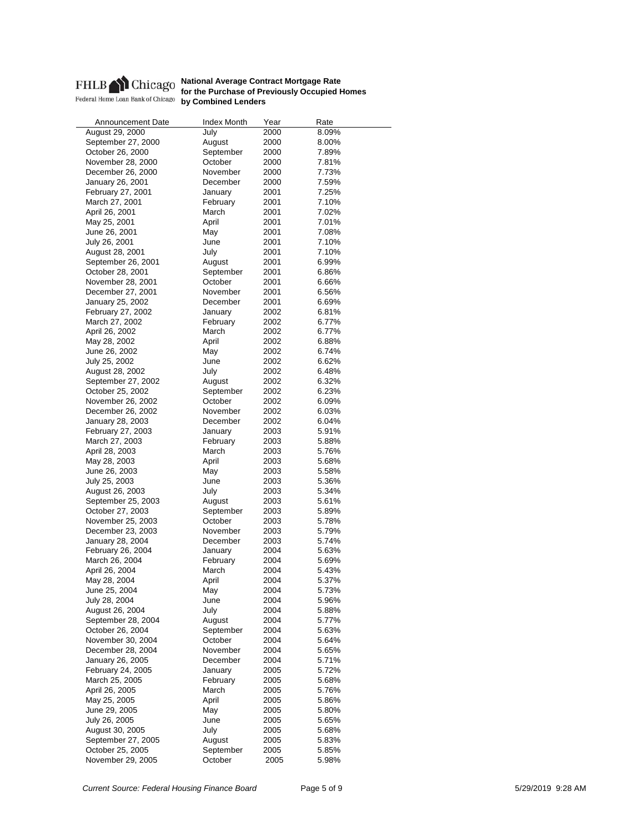

| Announcement Date  | Index Month | Year | Rate  |
|--------------------|-------------|------|-------|
| August 29, 2000    | July        | 2000 | 8.09% |
| September 27, 2000 | August      | 2000 | 8.00% |
| October 26, 2000   | September   | 2000 | 7.89% |
| November 28, 2000  | October     | 2000 | 7.81% |
| December 26, 2000  | November    | 2000 | 7.73% |
| January 26, 2001   | December    | 2000 | 7.59% |
| February 27, 2001  | January     | 2001 | 7.25% |
| March 27, 2001     | February    | 2001 | 7.10% |
| April 26, 2001     | March       | 2001 | 7.02% |
| May 25, 2001       | April       | 2001 | 7.01% |
| June 26, 2001      | May         | 2001 | 7.08% |
| July 26, 2001      | June        | 2001 | 7.10% |
| August 28, 2001    | July        | 2001 | 7.10% |
| September 26, 2001 | August      | 2001 | 6.99% |
| October 28, 2001   | September   | 2001 | 6.86% |
| November 28, 2001  | October     | 2001 | 6.66% |
| December 27, 2001  | November    | 2001 | 6.56% |
| January 25, 2002   | December    | 2001 | 6.69% |
| February 27, 2002  |             | 2002 | 6.81% |
|                    | January     |      |       |
| March 27, 2002     | February    | 2002 | 6.77% |
| April 26, 2002     | March       | 2002 | 6.77% |
| May 28, 2002       | April       | 2002 | 6.88% |
| June 26, 2002      | May         | 2002 | 6.74% |
| July 25, 2002      | June        | 2002 | 6.62% |
| August 28, 2002    | July        | 2002 | 6.48% |
| September 27, 2002 | August      | 2002 | 6.32% |
| October 25, 2002   | September   | 2002 | 6.23% |
| November 26, 2002  | October     | 2002 | 6.09% |
| December 26, 2002  | November    | 2002 | 6.03% |
| January 28, 2003   | December    | 2002 | 6.04% |
| February 27, 2003  | January     | 2003 | 5.91% |
| March 27, 2003     | February    | 2003 | 5.88% |
| April 28, 2003     | March       | 2003 | 5.76% |
| May 28, 2003       | April       | 2003 | 5.68% |
| June 26, 2003      | May         | 2003 | 5.58% |
| July 25, 2003      | June        | 2003 | 5.36% |
| August 26, 2003    | July        | 2003 | 5.34% |
| September 25, 2003 | August      | 2003 | 5.61% |
| October 27, 2003   | September   | 2003 | 5.89% |
| November 25, 2003  | October     | 2003 | 5.78% |
| December 23, 2003  | November    | 2003 | 5.79% |
| January 28, 2004   | December    | 2003 | 5.74% |
| February 26, 2004  | January     | 2004 | 5.63% |
| March 26, 2004     | February    | 2004 | 5.69% |
| April 26, 2004     | March       | 2004 | 5.43% |
| May 28, 2004       | April       | 2004 | 5.37% |
| June 25, 2004      | May         | 2004 | 5.73% |
| July 28, 2004      | June        | 2004 | 5.96% |
| August 26, 2004    | July        | 2004 | 5.88% |
| September 28, 2004 | August      | 2004 | 5.77% |
| October 26, 2004   | September   | 2004 | 5.63% |
| November 30, 2004  | October     | 2004 | 5.64% |
| December 28, 2004  | November    | 2004 | 5.65% |
| January 26, 2005   | December    | 2004 | 5.71% |
| February 24, 2005  | January     | 2005 | 5.72% |
| March 25, 2005     | February    | 2005 | 5.68% |
| April 26, 2005     | March       | 2005 | 5.76% |
| May 25, 2005       | April       | 2005 | 5.86% |
| June 29, 2005      | May         | 2005 | 5.80% |
| July 26, 2005      | June        | 2005 | 5.65% |
| August 30, 2005    | July        |      | 5.68% |
| September 27, 2005 |             | 2005 |       |
| October 25, 2005   | August      | 2005 | 5.83% |
|                    | September   | 2005 | 5.85% |
| November 29, 2005  | October     | 2005 | 5.98% |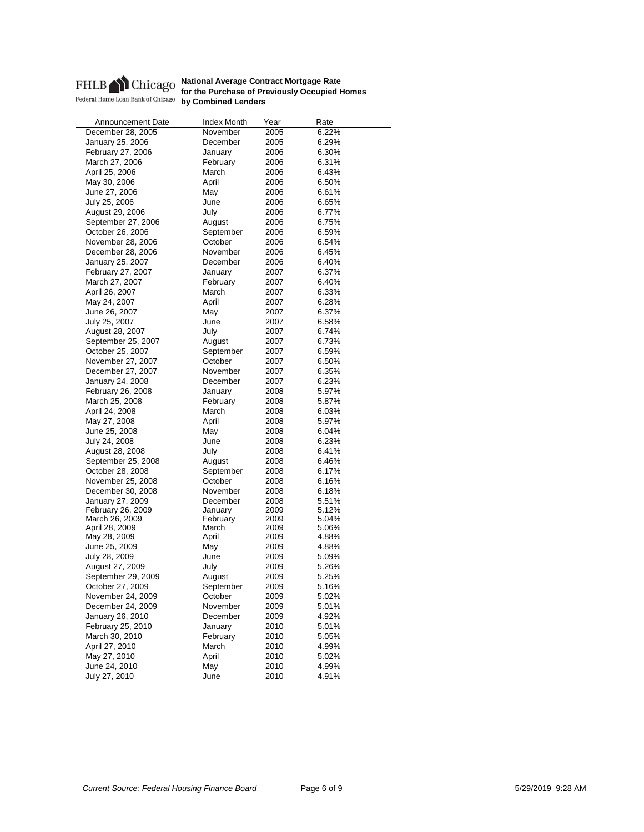

| <b>Announcement Date</b> | Index Month | Year | Rate  |
|--------------------------|-------------|------|-------|
| December 28, 2005        | November    | 2005 | 6.22% |
| January 25, 2006         | December    | 2005 | 6.29% |
| February 27, 2006        | January     | 2006 | 6.30% |
| March 27, 2006           | February    | 2006 | 6.31% |
| April 25, 2006           | March       | 2006 | 6.43% |
| May 30, 2006             | April       | 2006 | 6.50% |
| June 27, 2006            | May         | 2006 | 6.61% |
| July 25, 2006            | June        | 2006 | 6.65% |
| August 29, 2006          | July        | 2006 | 6.77% |
| September 27, 2006       | August      | 2006 | 6.75% |
| October 26, 2006         | September   | 2006 | 6.59% |
| November 28, 2006        | October     | 2006 | 6.54% |
|                          | November    | 2006 | 6.45% |
| December 28, 2006        |             |      |       |
| January 25, 2007         | December    | 2006 | 6.40% |
| February 27, 2007        | January     | 2007 | 6.37% |
| March 27, 2007           | February    | 2007 | 6.40% |
| April 26, 2007           | March       | 2007 | 6.33% |
| May 24, 2007             | April       | 2007 | 6.28% |
| June 26, 2007            | May         | 2007 | 6.37% |
| July 25, 2007            | June        | 2007 | 6.58% |
| August 28, 2007          | July        | 2007 | 6.74% |
| September 25, 2007       | August      | 2007 | 6.73% |
| October 25, 2007         | September   | 2007 | 6.59% |
| November 27, 2007        | October     | 2007 | 6.50% |
| December 27, 2007        | November    | 2007 | 6.35% |
| January 24, 2008         | December    | 2007 | 6.23% |
| February 26, 2008        | January     | 2008 | 5.97% |
| March 25, 2008           | February    | 2008 | 5.87% |
| April 24, 2008           | March       | 2008 | 6.03% |
| May 27, 2008             | April       | 2008 | 5.97% |
| June 25, 2008            | May         | 2008 | 6.04% |
| July 24, 2008            | June        | 2008 | 6.23% |
| August 28, 2008          | July        | 2008 | 6.41% |
| September 25, 2008       | August      | 2008 | 6.46% |
| October 28, 2008         | September   | 2008 | 6.17% |
| November 25, 2008        | October     | 2008 | 6.16% |
| December 30, 2008        | November    | 2008 | 6.18% |
| January 27, 2009         | December    | 2008 | 5.51% |
| February 26, 2009        | January     | 2009 | 5.12% |
| March 26, 2009           | February    | 2009 | 5.04% |
| April 28, 2009           | March       | 2009 | 5.06% |
| May 28, 2009             | April       | 2009 | 4.88% |
| June 25, 2009            | May         | 2009 | 4.88% |
| July 28, 2009            | June        | 2009 | 5.09% |
| August 27, 2009          | July        | 2009 | 5.26% |
| September 29, 2009       | August      | 2009 | 5.25% |
| October 27, 2009         | September   | 2009 | 5.16% |
| November 24, 2009        | October     | 2009 | 5.02% |
| December 24, 2009        | November    | 2009 | 5.01% |
| January 26, 2010         | December    | 2009 | 4.92% |
| February 25, 2010        | January     | 2010 | 5.01% |
| March 30, 2010           | February    | 2010 | 5.05% |
|                          |             |      | 4.99% |
| April 27, 2010           | March       | 2010 |       |
| May 27, 2010             | April       | 2010 | 5.02% |
| June 24, 2010            | May         | 2010 | 4.99% |
| July 27, 2010            | June        | 2010 | 4.91% |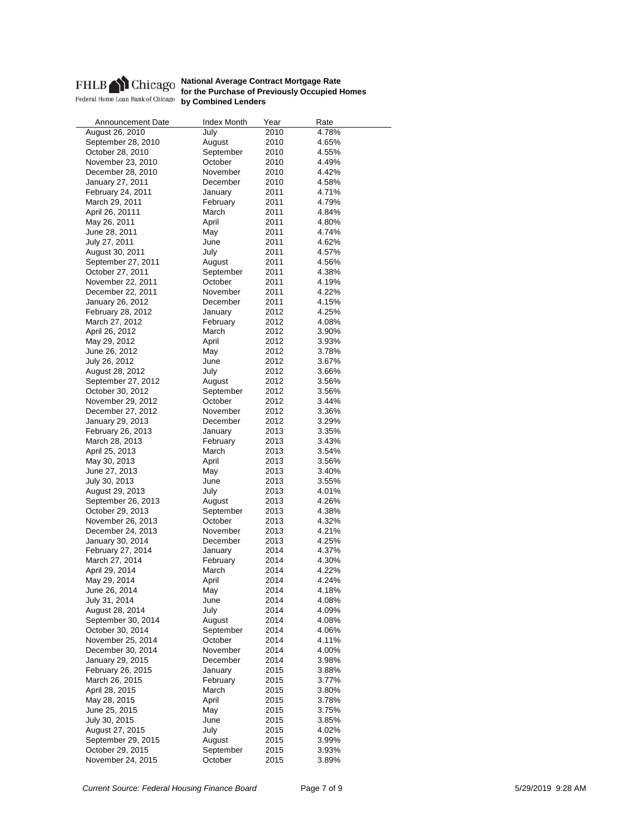

| Index Month | Year                                                                                                                                                                                                                                                                                                                                                                                                                                        | Rate                                                                                                                                                                                                                                                                                                                         |
|-------------|---------------------------------------------------------------------------------------------------------------------------------------------------------------------------------------------------------------------------------------------------------------------------------------------------------------------------------------------------------------------------------------------------------------------------------------------|------------------------------------------------------------------------------------------------------------------------------------------------------------------------------------------------------------------------------------------------------------------------------------------------------------------------------|
| July        | 2010                                                                                                                                                                                                                                                                                                                                                                                                                                        | 4.78%                                                                                                                                                                                                                                                                                                                        |
| August      | 2010                                                                                                                                                                                                                                                                                                                                                                                                                                        | 4.65%                                                                                                                                                                                                                                                                                                                        |
| September   | 2010                                                                                                                                                                                                                                                                                                                                                                                                                                        | 4.55%                                                                                                                                                                                                                                                                                                                        |
| October     | 2010                                                                                                                                                                                                                                                                                                                                                                                                                                        | 4.49%                                                                                                                                                                                                                                                                                                                        |
| November    | 2010                                                                                                                                                                                                                                                                                                                                                                                                                                        | 4.42%                                                                                                                                                                                                                                                                                                                        |
| December    | 2010                                                                                                                                                                                                                                                                                                                                                                                                                                        | 4.58%                                                                                                                                                                                                                                                                                                                        |
|             |                                                                                                                                                                                                                                                                                                                                                                                                                                             | 4.71%                                                                                                                                                                                                                                                                                                                        |
|             |                                                                                                                                                                                                                                                                                                                                                                                                                                             | 4.79%                                                                                                                                                                                                                                                                                                                        |
|             |                                                                                                                                                                                                                                                                                                                                                                                                                                             | 4.84%                                                                                                                                                                                                                                                                                                                        |
|             |                                                                                                                                                                                                                                                                                                                                                                                                                                             | 4.80%                                                                                                                                                                                                                                                                                                                        |
|             |                                                                                                                                                                                                                                                                                                                                                                                                                                             | 4.74%                                                                                                                                                                                                                                                                                                                        |
|             |                                                                                                                                                                                                                                                                                                                                                                                                                                             | 4.62%                                                                                                                                                                                                                                                                                                                        |
|             |                                                                                                                                                                                                                                                                                                                                                                                                                                             | 4.57%                                                                                                                                                                                                                                                                                                                        |
|             |                                                                                                                                                                                                                                                                                                                                                                                                                                             | 4.56%                                                                                                                                                                                                                                                                                                                        |
|             |                                                                                                                                                                                                                                                                                                                                                                                                                                             | 4.38%                                                                                                                                                                                                                                                                                                                        |
|             |                                                                                                                                                                                                                                                                                                                                                                                                                                             | 4.19%                                                                                                                                                                                                                                                                                                                        |
|             |                                                                                                                                                                                                                                                                                                                                                                                                                                             |                                                                                                                                                                                                                                                                                                                              |
|             |                                                                                                                                                                                                                                                                                                                                                                                                                                             | 4.22%                                                                                                                                                                                                                                                                                                                        |
|             |                                                                                                                                                                                                                                                                                                                                                                                                                                             | 4.15%                                                                                                                                                                                                                                                                                                                        |
|             |                                                                                                                                                                                                                                                                                                                                                                                                                                             | 4.25%                                                                                                                                                                                                                                                                                                                        |
|             |                                                                                                                                                                                                                                                                                                                                                                                                                                             | 4.08%                                                                                                                                                                                                                                                                                                                        |
|             |                                                                                                                                                                                                                                                                                                                                                                                                                                             | 3.90%                                                                                                                                                                                                                                                                                                                        |
|             |                                                                                                                                                                                                                                                                                                                                                                                                                                             | 3.93%                                                                                                                                                                                                                                                                                                                        |
|             |                                                                                                                                                                                                                                                                                                                                                                                                                                             | 3.78%                                                                                                                                                                                                                                                                                                                        |
|             |                                                                                                                                                                                                                                                                                                                                                                                                                                             | 3.67%                                                                                                                                                                                                                                                                                                                        |
| July        |                                                                                                                                                                                                                                                                                                                                                                                                                                             | 3.66%                                                                                                                                                                                                                                                                                                                        |
| August      | 2012                                                                                                                                                                                                                                                                                                                                                                                                                                        | 3.56%                                                                                                                                                                                                                                                                                                                        |
| September   | 2012                                                                                                                                                                                                                                                                                                                                                                                                                                        | 3.56%                                                                                                                                                                                                                                                                                                                        |
| October     | 2012                                                                                                                                                                                                                                                                                                                                                                                                                                        | 3.44%                                                                                                                                                                                                                                                                                                                        |
| November    | 2012                                                                                                                                                                                                                                                                                                                                                                                                                                        | 3.36%                                                                                                                                                                                                                                                                                                                        |
| December    | 2012                                                                                                                                                                                                                                                                                                                                                                                                                                        | 3.29%                                                                                                                                                                                                                                                                                                                        |
| January     | 2013                                                                                                                                                                                                                                                                                                                                                                                                                                        | 3.35%                                                                                                                                                                                                                                                                                                                        |
| February    | 2013                                                                                                                                                                                                                                                                                                                                                                                                                                        | 3.43%                                                                                                                                                                                                                                                                                                                        |
| March       | 2013                                                                                                                                                                                                                                                                                                                                                                                                                                        | 3.54%                                                                                                                                                                                                                                                                                                                        |
|             | 2013                                                                                                                                                                                                                                                                                                                                                                                                                                        | 3.56%                                                                                                                                                                                                                                                                                                                        |
|             | 2013                                                                                                                                                                                                                                                                                                                                                                                                                                        | 3.40%                                                                                                                                                                                                                                                                                                                        |
|             |                                                                                                                                                                                                                                                                                                                                                                                                                                             | 3.55%                                                                                                                                                                                                                                                                                                                        |
|             |                                                                                                                                                                                                                                                                                                                                                                                                                                             | 4.01%                                                                                                                                                                                                                                                                                                                        |
|             |                                                                                                                                                                                                                                                                                                                                                                                                                                             | 4.26%                                                                                                                                                                                                                                                                                                                        |
|             |                                                                                                                                                                                                                                                                                                                                                                                                                                             | 4.38%                                                                                                                                                                                                                                                                                                                        |
|             |                                                                                                                                                                                                                                                                                                                                                                                                                                             | 4.32%                                                                                                                                                                                                                                                                                                                        |
|             |                                                                                                                                                                                                                                                                                                                                                                                                                                             | 4.21%                                                                                                                                                                                                                                                                                                                        |
|             |                                                                                                                                                                                                                                                                                                                                                                                                                                             | 4.25%                                                                                                                                                                                                                                                                                                                        |
|             |                                                                                                                                                                                                                                                                                                                                                                                                                                             | 4.37%                                                                                                                                                                                                                                                                                                                        |
|             |                                                                                                                                                                                                                                                                                                                                                                                                                                             | 4.30%                                                                                                                                                                                                                                                                                                                        |
|             |                                                                                                                                                                                                                                                                                                                                                                                                                                             | 4.22%                                                                                                                                                                                                                                                                                                                        |
|             |                                                                                                                                                                                                                                                                                                                                                                                                                                             | 4.24%                                                                                                                                                                                                                                                                                                                        |
|             |                                                                                                                                                                                                                                                                                                                                                                                                                                             | 4.18%                                                                                                                                                                                                                                                                                                                        |
|             |                                                                                                                                                                                                                                                                                                                                                                                                                                             |                                                                                                                                                                                                                                                                                                                              |
|             |                                                                                                                                                                                                                                                                                                                                                                                                                                             | 4.08%                                                                                                                                                                                                                                                                                                                        |
|             |                                                                                                                                                                                                                                                                                                                                                                                                                                             | 4.09%                                                                                                                                                                                                                                                                                                                        |
|             |                                                                                                                                                                                                                                                                                                                                                                                                                                             | 4.08%                                                                                                                                                                                                                                                                                                                        |
|             |                                                                                                                                                                                                                                                                                                                                                                                                                                             | 4.06%                                                                                                                                                                                                                                                                                                                        |
|             |                                                                                                                                                                                                                                                                                                                                                                                                                                             | 4.11%                                                                                                                                                                                                                                                                                                                        |
|             |                                                                                                                                                                                                                                                                                                                                                                                                                                             | 4.00%                                                                                                                                                                                                                                                                                                                        |
|             |                                                                                                                                                                                                                                                                                                                                                                                                                                             | 3.98%                                                                                                                                                                                                                                                                                                                        |
|             |                                                                                                                                                                                                                                                                                                                                                                                                                                             | 3.88%                                                                                                                                                                                                                                                                                                                        |
|             |                                                                                                                                                                                                                                                                                                                                                                                                                                             | 3.77%                                                                                                                                                                                                                                                                                                                        |
|             | 2015                                                                                                                                                                                                                                                                                                                                                                                                                                        | 3.80%                                                                                                                                                                                                                                                                                                                        |
|             | 2015                                                                                                                                                                                                                                                                                                                                                                                                                                        | 3.78%                                                                                                                                                                                                                                                                                                                        |
| May         | 2015                                                                                                                                                                                                                                                                                                                                                                                                                                        | 3.75%                                                                                                                                                                                                                                                                                                                        |
| June        | 2015                                                                                                                                                                                                                                                                                                                                                                                                                                        | 3.85%                                                                                                                                                                                                                                                                                                                        |
| July        | 2015                                                                                                                                                                                                                                                                                                                                                                                                                                        | 4.02%                                                                                                                                                                                                                                                                                                                        |
| August      | 2015                                                                                                                                                                                                                                                                                                                                                                                                                                        | 3.99%                                                                                                                                                                                                                                                                                                                        |
| September   | 2015                                                                                                                                                                                                                                                                                                                                                                                                                                        | 3.93%                                                                                                                                                                                                                                                                                                                        |
| October     | 2015                                                                                                                                                                                                                                                                                                                                                                                                                                        | 3.89%                                                                                                                                                                                                                                                                                                                        |
|             | January<br>February<br>March<br>April<br>May<br>June<br>July<br>August<br>September<br>October<br>November<br>December<br>January<br>February<br>March<br>April<br>May<br>June<br>April<br>May<br>June<br>July<br>August<br>September<br>October<br>November<br>December<br>January<br>February<br>March<br>April<br>May<br>June<br>July<br>August<br>September<br>October<br>November<br>December<br>January<br>February<br>March<br>April | 2011<br>2011<br>2011<br>2011<br>2011<br>2011<br>2011<br>2011<br>2011<br>2011<br>2011<br>2011<br>2012<br>2012<br>2012<br>2012<br>2012<br>2012<br>2012<br>2013<br>2013<br>2013<br>2013<br>2013<br>2013<br>2013<br>2014<br>2014<br>2014<br>2014<br>2014<br>2014<br>2014<br>2014<br>2014<br>2014<br>2014<br>2014<br>2015<br>2015 |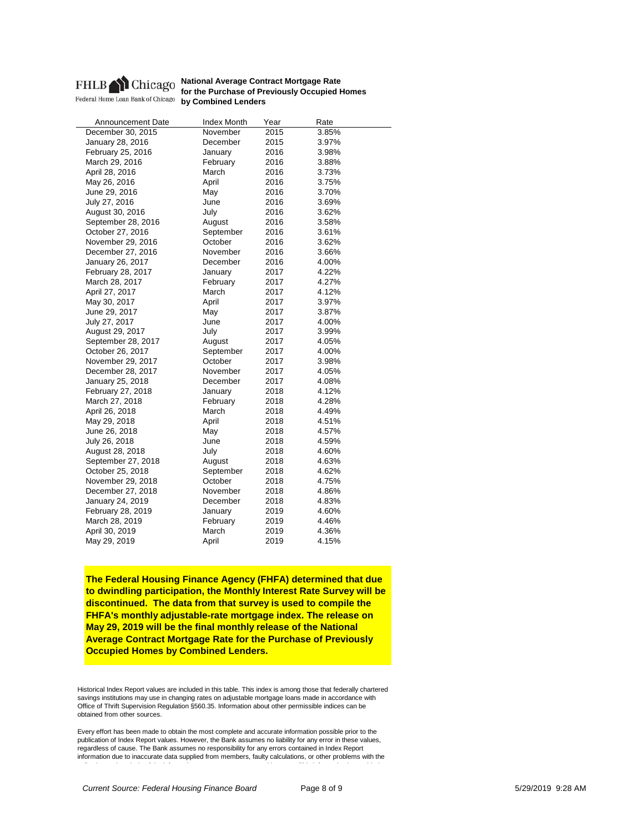

**National Average Contract Mortgage Rate for the Purchase of Previously Occupied Homes by Combined Lenders**<br> **by Combined Lenders** 

| Announcement Date  | <b>Index Month</b> | Year | Rate  |
|--------------------|--------------------|------|-------|
| December 30, 2015  | November           | 2015 | 3.85% |
| January 28, 2016   | December           | 2015 | 3.97% |
| February 25, 2016  | January            | 2016 | 3.98% |
| March 29, 2016     | February           | 2016 | 3.88% |
| April 28, 2016     | March              | 2016 | 3.73% |
| May 26, 2016       | April              | 2016 | 3.75% |
| June 29, 2016      | May                | 2016 | 3.70% |
| July 27, 2016      | June               | 2016 | 3.69% |
| August 30, 2016    | July               | 2016 | 3.62% |
| September 28, 2016 | August             | 2016 | 3.58% |
| October 27, 2016   | September          | 2016 | 3.61% |
| November 29, 2016  | October            | 2016 | 3.62% |
| December 27, 2016  | November           | 2016 | 3.66% |
| January 26, 2017   | December           | 2016 | 4.00% |
| February 28, 2017  | January            | 2017 | 4.22% |
| March 28, 2017     | February           | 2017 | 4.27% |
| April 27, 2017     | March              | 2017 | 4.12% |
| May 30, 2017       | April              | 2017 | 3.97% |
| June 29, 2017      | May                | 2017 | 3.87% |
| July 27, 2017      | June               | 2017 | 4.00% |
| August 29, 2017    | July               | 2017 | 3.99% |
| September 28, 2017 | August             | 2017 | 4.05% |
| October 26, 2017   | September          | 2017 | 4.00% |
| November 29, 2017  | October            | 2017 | 3.98% |
| December 28, 2017  | November           | 2017 | 4.05% |
| January 25, 2018   | December           | 2017 | 4.08% |
| February 27, 2018  | January            | 2018 | 4.12% |
| March 27, 2018     | February           | 2018 | 4.28% |
| April 26, 2018     | March              | 2018 | 4.49% |
| May 29, 2018       | April              | 2018 | 4.51% |
| June 26, 2018      | May                | 2018 | 4.57% |
| July 26, 2018      | June               | 2018 | 4.59% |
| August 28, 2018    | July               | 2018 | 4.60% |
| September 27, 2018 | August             | 2018 | 4.63% |
| October 25, 2018   | September          | 2018 | 4.62% |
| November 29, 2018  | October            | 2018 | 4.75% |
| December 27, 2018  | November           | 2018 | 4.86% |
| January 24, 2019   | December           | 2018 | 4.83% |
| February 28, 2019  | January            | 2019 | 4.60% |
| March 28, 2019     | February           | 2019 | 4.46% |
| April 30, 2019     | March              | 2019 | 4.36% |
| May 29, 2019       | April              | 2019 | 4.15% |
|                    |                    |      |       |

**The Federal Housing Finance Agency (FHFA) determined that due to dwindling participation, the Monthly Interest Rate Survey will be discontinued. The data from that survey is used to compile the FHFA's monthly adjustable-rate mortgage index. The release on May 29, 2019 will be the final monthly release of the National Average Contract Mortgage Rate for the Purchase of Previously Occupied Homes by Combined Lenders.**

Historical Index Report values are included in this table. This index is among those that federally chartered savings institutions may use in changing rates on adjustable mortgage loans made in accordance with Office of Thrift Supervision Regulation §560.35. Information about other permissible indices can be obtained from other sources.

Every effort has been made to obtain the most complete and accurate information possible prior to the publication of Index Report values. However, the Bank assumes no liability for any error in these values, regardless of cause. The Bank assumes no responsibility for any errors contained in Index Report information due to inaccurate data supplied from members, faulty calculations, or other problems with the ll ti d l i f th i f ti t t thi t Thi i f ti i id d